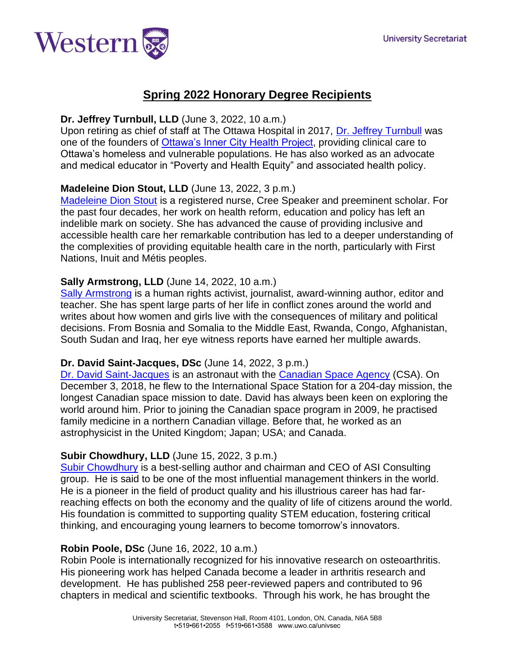

# **Spring 2022 Honorary Degree Recipients**

### **Dr. Jeffrey Turnbull, LLD** (June 3, 2022, 10 a.m.)

Upon retiring as chief of staff at The Ottawa Hospital in 2017, [Dr. Jeffrey Turnbull](https://www.hqontario.ca/About-Us/Our-Mandate-and-Our-People/Executive-Team/Dr-Jeffrey-Turnbull) was one of the founders of [Ottawa's Inner City Health Project,](https://www.ottawainnercityhealth.ca/) providing clinical care to Ottawa's homeless and vulnerable populations. He has also worked as an advocate and medical educator in "Poverty and Health Equity" and associated health policy.

# **Madeleine Dion Stout, LLD** (June 13, 2022, 3 p.m.)

[Madeleine Dion Stout](https://thunderbirdpf.org/events/madeleine-dion-stout-2/) is a registered nurse, Cree Speaker and preeminent scholar. For the past four decades, her work on health reform, education and policy has left an indelible mark on society. She has advanced the cause of providing inclusive and accessible health care her remarkable contribution has led to a deeper understanding of the complexities of providing equitable health care in the north, particularly with First Nations, Inuit and Métis peoples.

### **Sally Armstrong, LLD** (June 14, 2022, 10 a.m.)

[Sally Armstrong](https://www.sallyarmstrong.ca/) is a human rights activist, journalist, award-winning author, editor and teacher. She has spent large parts of her life in conflict zones around the world and writes about how women and girls live with the consequences of military and political decisions. From Bosnia and Somalia to the Middle East, Rwanda, Congo, Afghanistan, South Sudan and Iraq, her eye witness reports have earned her multiple awards.

### **Dr. David Saint-Jacques, DSc** (June 14, 2022, 3 p.m.)

[Dr. David Saint](https://www.asc-csa.gc.ca/eng/astronauts/canadian/active/bio-david-saint-jacques.asp)‐Jacques is an astronaut with the [Canadian Space Agency](https://www.asc-csa.gc.ca/eng/Default.asp) (CSA). On December 3, 2018, he flew to the International Space Station for a 204-day mission, the longest Canadian space mission to date. David has always been keen on exploring the world around him. Prior to joining the Canadian space program in 2009, he practised family medicine in a northern Canadian village. Before that, he worked as an astrophysicist in the United Kingdom; Japan; USA; and Canada.

### **Subir Chowdhury, LLD** (June 15, 2022, 3 p.m.)

[Subir Chowdhury](https://www.subirchowdhury.com/) is a best-selling author and chairman and CEO of ASI Consulting group. He is said to be one of the most influential management thinkers in the world. He is a pioneer in the field of product quality and his illustrious career has had farreaching effects on both the economy and the quality of life of citizens around the world. His foundation is committed to supporting quality STEM education, fostering critical thinking, and encouraging young learners to become tomorrow's innovators.

#### **Robin Poole, DSc** (June 16, 2022, 10 a.m.)

Robin Poole is internationally recognized for his innovative research on osteoarthritis. His pioneering work has helped Canada become a leader in arthritis research and development. He has published 258 peer-reviewed papers and contributed to 96 chapters in medical and scientific textbooks. Through his work, he has brought the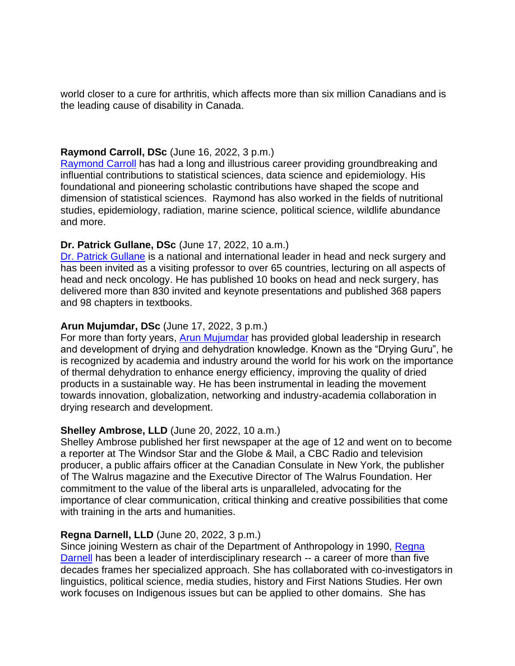world closer to a cure for arthritis, which affects more than six million Canadians and is the leading cause of disability in Canada.

### **Raymond Carroll, DSc** (June 16, 2022, 3 p.m.)

[Raymond Carroll](https://scholars.library.tamu.edu/vivo/display/n032647a0/Persons/View%20All) has had a long and illustrious career providing groundbreaking and influential contributions to statistical sciences, data science and epidemiology. His foundational and pioneering scholastic contributions have shaped the scope and dimension of statistical sciences. Raymond has also worked in the fields of nutritional studies, epidemiology, radiation, marine science, political science, wildlife abundance and more.

### **Dr. Patrick Gullane, DSc** (June 17, 2022, 10 a.m.)

[Dr. Patrick Gullane](https://www.ahns.info/about-ahns/past_presidents/gullane/) is a national and international leader in head and neck surgery and has been invited as a visiting professor to over 65 countries, lecturing on all aspects of head and neck oncology. He has published 10 books on head and neck surgery, has delivered more than 830 invited and keynote presentations and published 368 papers and 98 chapters in textbooks.

### **Arun Mujumdar, DSc** (June 17, 2022, 3 p.m.)

For more than forty years, [Arun Mujumdar](https://arunmujumdar.com/) has provided global leadership in research and development of drying and dehydration knowledge. Known as the "Drying Guru", he is recognized by academia and industry around the world for his work on the importance of thermal dehydration to enhance energy efficiency, improving the quality of dried products in a sustainable way. He has been instrumental in leading the movement towards innovation, globalization, networking and industry-academia collaboration in drying research and development.

#### **Shelley Ambrose, LLD** (June 20, 2022, 10 a.m.)

Shelley Ambrose published her first newspaper at the age of 12 and went on to become a reporter at The Windsor Star and the Globe & Mail, a CBC Radio and television producer, a public affairs officer at the Canadian Consulate in New York, the publisher of The Walrus magazine and the Executive Director of The Walrus Foundation. Her commitment to the value of the liberal arts is unparalleled, advocating for the importance of clear communication, critical thinking and creative possibilities that come with training in the arts and humanities.

### **Regna Darnell, LLD** (June 20, 2022, 3 p.m.)

Since joining Western as chair of the Department of Anthropology in 1990, [Regna](https://www.regnadarnell.ca/)  [Darnell](https://www.regnadarnell.ca/) has been a leader of interdisciplinary research -- a career of more than five decades frames her specialized approach. She has collaborated with co-investigators in linguistics, political science, media studies, history and First Nations Studies. Her own work focuses on Indigenous issues but can be applied to other domains. She has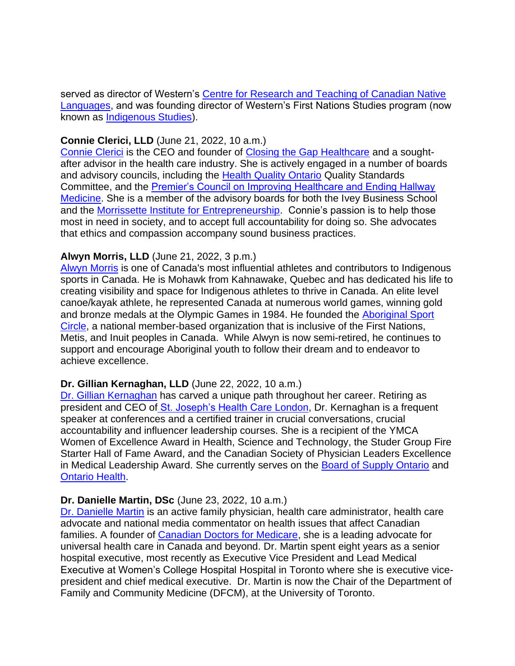served as director of Western's [Centre for Research and Teaching of Canadian Native](https://indigenousstudies.uwo.ca/resources/facilities.html)  [Languages,](https://indigenousstudies.uwo.ca/resources/facilities.html) and was founding director of Western's First Nations Studies program (now known as [Indigenous Studies\)](https://indigenousstudies.uwo.ca/).

### **Connie Clerici, LLD** (June 21, 2022, 10 a.m.)

[Connie Clerici](https://www.ivey.uwo.ca/about/leadership/ivey-advisory-board/connie-clerici/) is the CEO and founder of [Closing the Gap Healthcare](https://www.closingthegap.ca/) and a soughtafter advisor in the health care industry. She is actively engaged in a number of boards and advisory councils, including the [Health Quality Ontario](https://www.hqontario.ca/) Quality Standards Committee, and the [Premier's Council on Improving Healthcare and Ending Hallway](https://www.health.gov.on.ca/en/public/publications/premiers_council/default.aspx)  [Medicine.](https://www.health.gov.on.ca/en/public/publications/premiers_council/default.aspx) She is a member of the advisory boards for both the Ivey Business School and the [Morrissette Institute for Entrepreneurship.](https://entrepreneurship.uwo.ca/) Connie's passion is to help those most in need in society, and to accept full accountability for doing so. She advocates that ethics and compassion accompany sound business practices.

# **Alwyn Morris, LLD** (June 21, 2022, 3 p.m.)

[Alwyn Morris](https://olympic.ca/team-canada/alwyn-morris/) is one of Canada's most influential athletes and contributors to Indigenous sports in Canada. He is Mohawk from Kahnawake, Quebec and has dedicated his life to creating visibility and space for Indigenous athletes to thrive in Canada. An elite level canoe/kayak athlete, he represented Canada at numerous world games, winning gold and bronze medals at the Olympic Games in 1984. He founded the [Aboriginal Sport](https://www.aboriginalsportcircle.ca/)  [Circle,](https://www.aboriginalsportcircle.ca/) a national member-based organization that is inclusive of the First Nations, Metis, and Inuit peoples in Canada. While Alwyn is now semi-retired, he continues to support and encourage Aboriginal youth to follow their dream and to endeavor to achieve excellence.

# **Dr. Gillian Kernaghan, LLD** (June 22, 2022, 10 a.m.)

[Dr. Gillian Kernaghan](https://www.schulich.uwo.ca/rapport/2021/alumni/gillian_kernaghan.html) has carved a unique path throughout her career. Retiring as president and CEO of [St. Joseph's Health Care London,](https://www.sjhc.london.on.ca/) Dr. Kernaghan is a frequent speaker at conferences and a certified trainer in crucial conversations, crucial accountability and influencer leadership courses. She is a recipient of the YMCA Women of Excellence Award in Health, Science and Technology, the Studer Group Fire Starter Hall of Fame Award, and the Canadian Society of Physician Leaders Excellence in Medical Leadership Award. She currently serves on the [Board of Supply Ontario](https://www.ontario.ca/page/supply-ontario) and [Ontario Health.](https://www.ontariohealth.ca/)

### **Dr. Danielle Martin, DSc** (June 23, 2022, 10 a.m.)

[Dr. Danielle Martin](https://ihpme.utoronto.ca/faculty/danielle-martin/) is an active family physician, health care administrator, health care advocate and national media commentator on health issues that affect Canadian families. A founder of [Canadian Doctors for Medicare,](https://www.canadiandoctorsformedicare.ca/) she is a leading advocate for universal health care in Canada and beyond. Dr. Martin spent eight years as a senior hospital executive, most recently as Executive Vice President and Lead Medical Executive at Women's College Hospital Hospital in Toronto where she is executive vicepresident and chief medical executive. Dr. Martin is now the Chair of the Department of Family and Community Medicine (DFCM), at the University of Toronto.